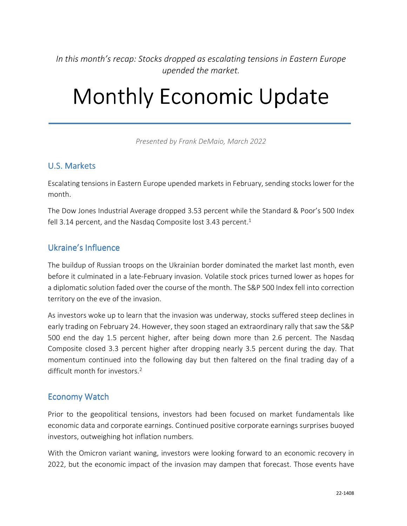*In this month's recap: Stocks dropped as escalating tensions in Eastern Europe upended the market.* 

# Monthly Economic Update

*Presented by Frank DeMaio, March 2022*

#### U.S. Markets

Escalating tensions in Eastern Europe upended markets in February, sending stocks lower for the month.

The Dow Jones Industrial Average dropped 3.53 percent while the Standard & Poor's 500 Index fell 3.14 percent, and the Nasdaq Composite lost 3.43 percent.<sup>1</sup>

### Ukraine's Influence

The buildup of Russian troops on the Ukrainian border dominated the market last month, even before it culminated in a late-February invasion. Volatile stock prices turned lower as hopes for a diplomatic solution faded over the course of the month. The S&P 500 Index fell into correction territory on the eve of the invasion.

As investors woke up to learn that the invasion was underway, stocks suffered steep declines in early trading on February 24. However, they soon staged an extraordinary rally that saw the S&P 500 end the day 1.5 percent higher, after being down more than 2.6 percent. The Nasdaq Composite closed 3.3 percent higher after dropping nearly 3.5 percent during the day. That momentum continued into the following day but then faltered on the final trading day of a difficult month for investors.<sup>2</sup>

#### Economy Watch

Prior to the geopolitical tensions, investors had been focused on market fundamentals like economic data and corporate earnings. Continued positive corporate earnings surprises buoyed investors, outweighing hot inflation numbers.

With the Omicron variant waning, investors were looking forward to an economic recovery in 2022, but the economic impact of the invasion may dampen that forecast. Those events have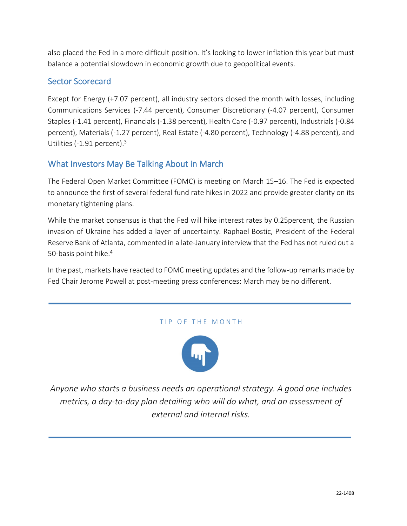also placed the Fed in a more difficult position. It's looking to lower inflation this year but must balance a potential slowdown in economic growth due to geopolitical events.

#### Sector Scorecard

Except for Energy (+7.07 percent), all industry sectors closed the month with losses, including Communications Services (-7.44 percent), Consumer Discretionary (-4.07 percent), Consumer Staples (-1.41 percent), Financials (-1.38 percent), Health Care (-0.97 percent), Industrials (-0.84 percent), Materials (-1.27 percent), Real Estate (-4.80 percent), Technology (-4.88 percent), and Utilities (-1.91 percent).<sup>3</sup>

#### What Investors May Be Talking About in March

The Federal Open Market Committee (FOMC) is meeting on March 15–16. The Fed is expected to announce the first of several federal fund rate hikes in 2022 and provide greater clarity on its monetary tightening plans.

While the market consensus is that the Fed will hike interest rates by 0.25percent, the Russian invasion of Ukraine has added a layer of uncertainty. Raphael Bostic, President of the Federal Reserve Bank of Atlanta, commented in a late-January interview that the Fed has not ruled out a 50-basis point hike.<sup>4</sup>

In the past, markets have reacted to FOMC meeting updates and the follow-up remarks made by Fed Chair Jerome Powell at post-meeting press conferences: March may be no different.

#### TIP OF THE MONTH



*Anyone who starts a business needs an operational strategy. A good one includes metrics, a day-to-day plan detailing who will do what, and an assessment of external and internal risks.*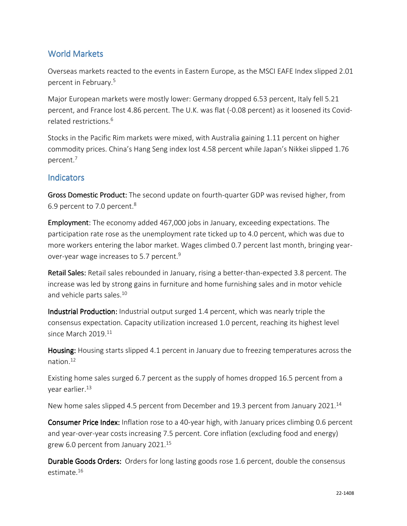#### World Markets

Overseas markets reacted to the events in Eastern Europe, as the MSCI EAFE Index slipped 2.01 percent in February.<sup>5</sup>

Major European markets were mostly lower: Germany dropped 6.53 percent, Italy fell 5.21 percent, and France lost 4.86 percent. The U.K. was flat (-0.08 percent) as it loosened its Covidrelated restrictions.<sup>6</sup>

Stocks in the Pacific Rim markets were mixed, with Australia gaining 1.11 percent on higher commodity prices. China's Hang Seng index lost 4.58 percent while Japan's Nikkei slipped 1.76 percent.<sup>7</sup>

#### **Indicators**

Gross Domestic Product: The second update on fourth-quarter GDP was revised higher, from 6.9 percent to 7.0 percent.<sup>8</sup>

Employment: The economy added 467,000 jobs in January, exceeding expectations. The participation rate rose as the unemployment rate ticked up to 4.0 percent, which was due to more workers entering the labor market. Wages climbed 0.7 percent last month, bringing yearover-year wage increases to 5.7 percent.<sup>9</sup>

Retail Sales: Retail sales rebounded in January, rising a better-than-expected 3.8 percent. The increase was led by strong gains in furniture and home furnishing sales and in motor vehicle and vehicle parts sales.<sup>10</sup>

Industrial Production: Industrial output surged 1.4 percent, which was nearly triple the consensus expectation. Capacity utilization increased 1.0 percent, reaching its highest level since March 2019.<sup>11</sup>

Housing: Housing starts slipped 4.1 percent in January due to freezing temperatures across the nation $12$ 

Existing home sales surged 6.7 percent as the supply of homes dropped 16.5 percent from a year earlier.<sup>13</sup>

New home sales slipped 4.5 percent from December and 19.3 percent from January 2021.<sup>14</sup>

**Consumer Price Index:** Inflation rose to a 40-year high, with January prices climbing 0.6 percent and year-over-year costs increasing 7.5 percent. Core inflation (excluding food and energy) grew 6.0 percent from January 2021.<sup>15</sup>

Durable Goods Orders: Orders for long lasting goods rose 1.6 percent, double the consensus estimate.16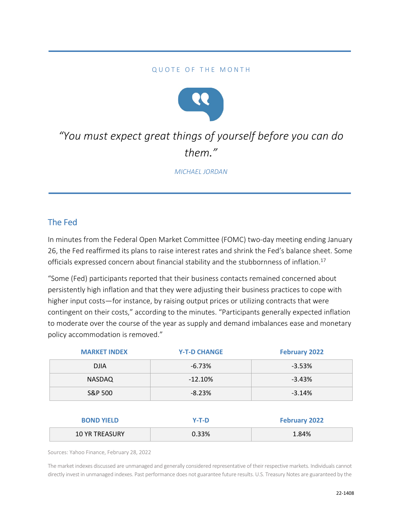#### QUOTE OF THE MONTH



## *"You must expect great things of yourself before you can do them."*

*MICHAEL JORDAN*

### The Fed

In minutes from the Federal Open Market Committee (FOMC) two-day meeting ending January 26, the Fed reaffirmed its plans to raise interest rates and shrink the Fed's balance sheet. Some officials expressed concern about financial stability and the stubbornness of inflation.<sup>17</sup>

"Some (Fed) participants reported that their business contacts remained concerned about persistently high inflation and that they were adjusting their business practices to cope with higher input costs—for instance, by raising output prices or utilizing contracts that were contingent on their costs," according to the minutes. "Participants generally expected inflation to moderate over the course of the year as supply and demand imbalances ease and monetary policy accommodation is removed."

| <b>MARKET INDEX</b> | <b>Y-T-D CHANGE</b> | <b>February 2022</b> |
|---------------------|---------------------|----------------------|
| <b>DJIA</b>         | $-6.73%$            | $-3.53%$             |
| NASDAQ              | $-12.10%$           | $-3.43%$             |
| S&P 500             | $-8.23%$            | $-3.14%$             |
|                     |                     |                      |

| <b>BOND YIELD</b>     | Y-T-D | <b>February 2022</b> |
|-----------------------|-------|----------------------|
| <b>10 YR TREASURY</b> | 0.33% | 1.84%                |

Sources: Yahoo Finance, February 28, 2022

The market indexes discussed are unmanaged and generally considered representative of their respective markets. Individuals cannot directly invest in unmanaged indexes. Past performance does not guarantee future results. U.S. Treasury Notes are guaranteed by the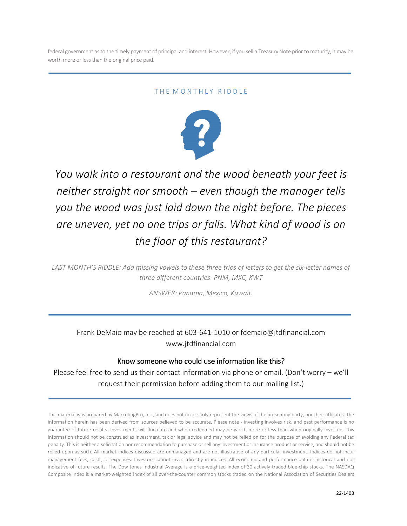federal government as to the timely payment of principal and interest. However, if you sell a Treasury Note prior to maturity, it may be worth more or less than the original price paid.

#### THE MONTHLY RIDDLE



*You walk into a restaurant and the wood beneath your feet is neither straight nor smooth – even though the manager tells you the wood was just laid down the night before. The pieces are uneven, yet no one trips or falls. What kind of wood is on the floor of this restaurant?* 

*LAST MONTH'S RIDDLE: Add missing vowels to these three trios of letters to get the six-letter names of three different countries: PNM, MXC, KWT* 

*ANSWER: Panama, Mexico, Kuwait.* 

Frank DeMaio may be reached at 603-641-1010 or fdemaio@jtdfinancial.com www.jtdfinancial.com

#### Know someone who could use information like this?

Please feel free to send us their contact information via phone or email. (Don't worry – we'll request their permission before adding them to our mailing list.)

This material was prepared by MarketingPro, Inc., and does not necessarily represent the views of the presenting party, nor their affiliates. The information herein has been derived from sources believed to be accurate. Please note - investing involves risk, and past performance is no guarantee of future results. Investments will fluctuate and when redeemed may be worth more or less than when originally invested. This information should not be construed as investment, tax or legal advice and may not be relied on for the purpose of avoiding any Federal tax penalty. This is neither a solicitation nor recommendation to purchase or sell any investment or insurance product or service, and should not be relied upon as such. All market indices discussed are unmanaged and are not illustrative of any particular investment. Indices do not incur management fees, costs, or expenses. Investors cannot invest directly in indices. All economic and performance data is historical and not indicative of future results. The Dow Jones Industrial Average is a price-weighted index of 30 actively traded blue-chip stocks. The NASDAQ Composite Index is a market-weighted index of all over-the-counter common stocks traded on the National Association of Securities Dealers